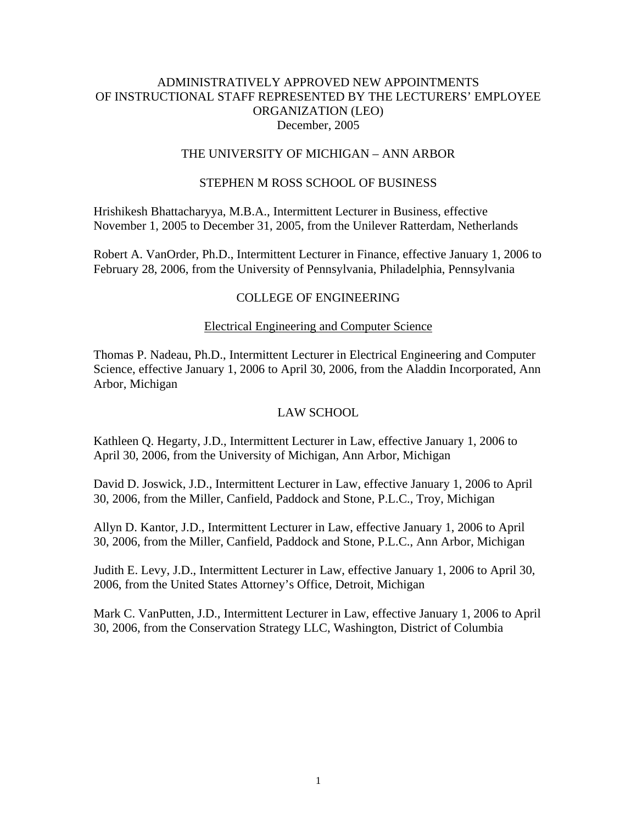## ADMINISTRATIVELY APPROVED NEW APPOINTMENTS OF INSTRUCTIONAL STAFF REPRESENTED BY THE LECTURERS' EMPLOYEE ORGANIZATION (LEO) December, 2005

## THE UNIVERSITY OF MICHIGAN – ANN ARBOR

### STEPHEN M ROSS SCHOOL OF BUSINESS

Hrishikesh Bhattacharyya, M.B.A., Intermittent Lecturer in Business, effective November 1, 2005 to December 31, 2005, from the Unilever Ratterdam, Netherlands

Robert A. VanOrder, Ph.D., Intermittent Lecturer in Finance, effective January 1, 2006 to February 28, 2006, from the University of Pennsylvania, Philadelphia, Pennsylvania

## COLLEGE OF ENGINEERING

#### Electrical Engineering and Computer Science

Thomas P. Nadeau, Ph.D., Intermittent Lecturer in Electrical Engineering and Computer Science, effective January 1, 2006 to April 30, 2006, from the Aladdin Incorporated, Ann Arbor, Michigan

### LAW SCHOOL

Kathleen Q. Hegarty, J.D., Intermittent Lecturer in Law, effective January 1, 2006 to April 30, 2006, from the University of Michigan, Ann Arbor, Michigan

David D. Joswick, J.D., Intermittent Lecturer in Law, effective January 1, 2006 to April 30, 2006, from the Miller, Canfield, Paddock and Stone, P.L.C., Troy, Michigan

Allyn D. Kantor, J.D., Intermittent Lecturer in Law, effective January 1, 2006 to April 30, 2006, from the Miller, Canfield, Paddock and Stone, P.L.C., Ann Arbor, Michigan

Judith E. Levy, J.D., Intermittent Lecturer in Law, effective January 1, 2006 to April 30, 2006, from the United States Attorney's Office, Detroit, Michigan

Mark C. VanPutten, J.D., Intermittent Lecturer in Law, effective January 1, 2006 to April 30, 2006, from the Conservation Strategy LLC, Washington, District of Columbia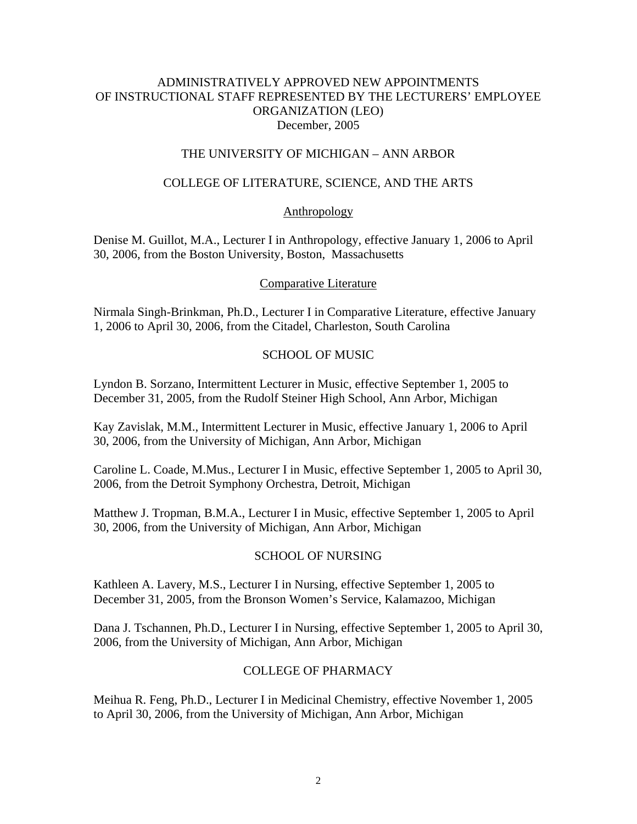## ADMINISTRATIVELY APPROVED NEW APPOINTMENTS OF INSTRUCTIONAL STAFF REPRESENTED BY THE LECTURERS' EMPLOYEE ORGANIZATION (LEO) December, 2005

## THE UNIVERSITY OF MICHIGAN – ANN ARBOR

# COLLEGE OF LITERATURE, SCIENCE, AND THE ARTS

## Anthropology

Denise M. Guillot, M.A., Lecturer I in Anthropology, effective January 1, 2006 to April 30, 2006, from the Boston University, Boston, Massachusetts

## Comparative Literature

Nirmala Singh-Brinkman, Ph.D., Lecturer I in Comparative Literature, effective January 1, 2006 to April 30, 2006, from the Citadel, Charleston, South Carolina

## SCHOOL OF MUSIC

Lyndon B. Sorzano, Intermittent Lecturer in Music, effective September 1, 2005 to December 31, 2005, from the Rudolf Steiner High School, Ann Arbor, Michigan

Kay Zavislak, M.M., Intermittent Lecturer in Music, effective January 1, 2006 to April 30, 2006, from the University of Michigan, Ann Arbor, Michigan

Caroline L. Coade, M.Mus., Lecturer I in Music, effective September 1, 2005 to April 30, 2006, from the Detroit Symphony Orchestra, Detroit, Michigan

Matthew J. Tropman, B.M.A., Lecturer I in Music, effective September 1, 2005 to April 30, 2006, from the University of Michigan, Ann Arbor, Michigan

## SCHOOL OF NURSING

Kathleen A. Lavery, M.S., Lecturer I in Nursing, effective September 1, 2005 to December 31, 2005, from the Bronson Women's Service, Kalamazoo, Michigan

Dana J. Tschannen, Ph.D., Lecturer I in Nursing, effective September 1, 2005 to April 30, 2006, from the University of Michigan, Ann Arbor, Michigan

## COLLEGE OF PHARMACY

Meihua R. Feng, Ph.D., Lecturer I in Medicinal Chemistry, effective November 1, 2005 to April 30, 2006, from the University of Michigan, Ann Arbor, Michigan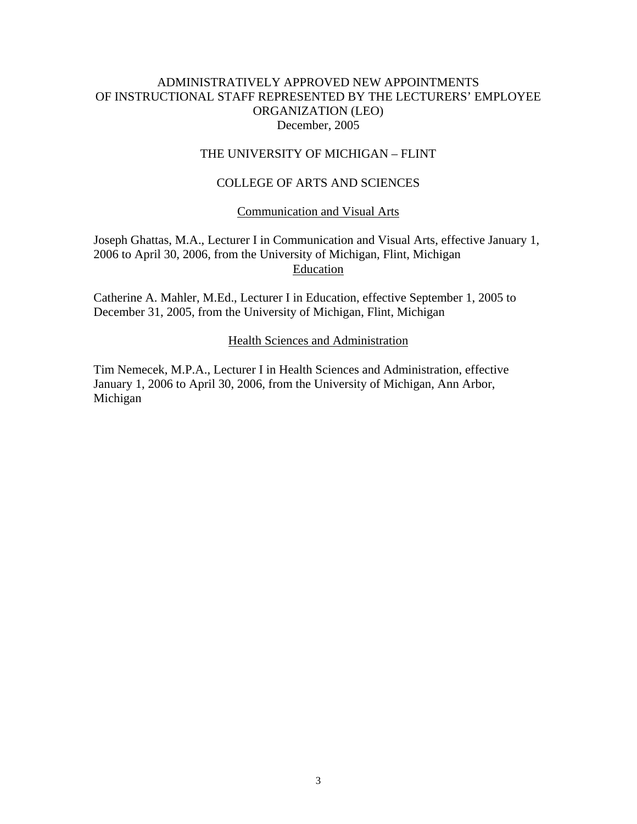## ADMINISTRATIVELY APPROVED NEW APPOINTMENTS OF INSTRUCTIONAL STAFF REPRESENTED BY THE LECTURERS' EMPLOYEE ORGANIZATION (LEO) December, 2005

## THE UNIVERSITY OF MICHIGAN – FLINT

# COLLEGE OF ARTS AND SCIENCES

## Communication and Visual Arts

Joseph Ghattas, M.A., Lecturer I in Communication and Visual Arts, effective January 1, 2006 to April 30, 2006, from the University of Michigan, Flint, Michigan Education

Catherine A. Mahler, M.Ed., Lecturer I in Education, effective September 1, 2005 to December 31, 2005, from the University of Michigan, Flint, Michigan

#### Health Sciences and Administration

Tim Nemecek, M.P.A., Lecturer I in Health Sciences and Administration, effective January 1, 2006 to April 30, 2006, from the University of Michigan, Ann Arbor, Michigan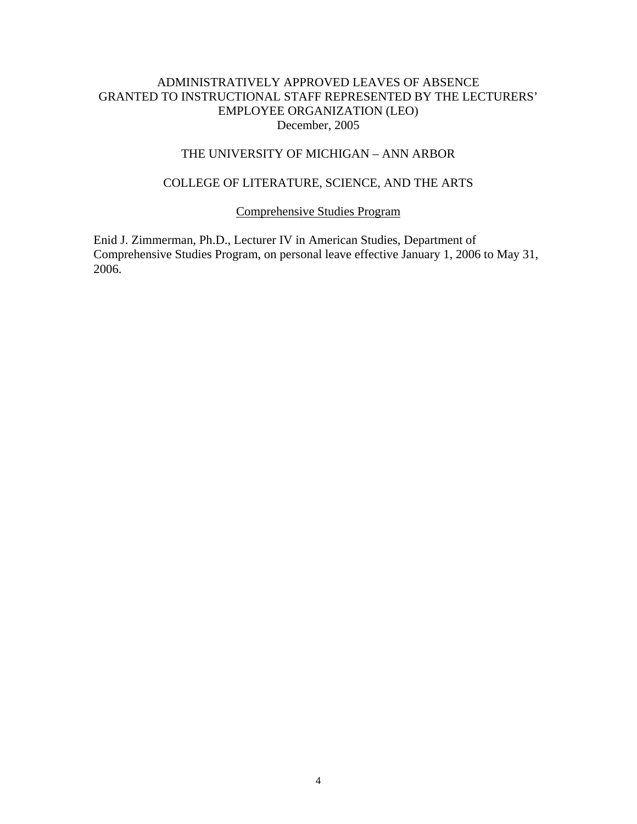# ADMINISTRATIVELY APPROVED LEAVES OF ABSENCE GRANTED TO INSTRUCTIONAL STAFF REPRESENTED BY THE LECTURERS' EMPLOYEE ORGANIZATION (LEO) December, 2005

## THE UNIVERSITY OF MICHIGAN – ANN ARBOR

## COLLEGE OF LITERATURE, SCIENCE, AND THE ARTS

## Comprehensive Studies Program

Enid J. Zimmerman, Ph.D., Lecturer IV in American Studies, Department of Comprehensive Studies Program, on personal leave effective January 1, 2006 to May 31, 2006.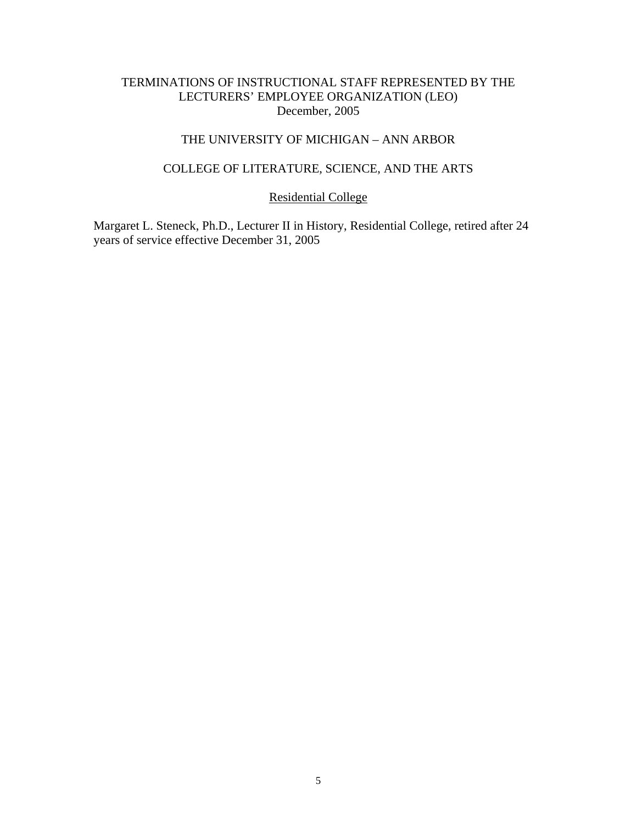# TERMINATIONS OF INSTRUCTIONAL STAFF REPRESENTED BY THE LECTURERS' EMPLOYEE ORGANIZATION (LEO) December, 2005

# THE UNIVERSITY OF MICHIGAN – ANN ARBOR

### COLLEGE OF LITERATURE, SCIENCE, AND THE ARTS

# Residential College

Margaret L. Steneck, Ph.D., Lecturer II in History, Residential College, retired after 24 years of service effective December 31, 2005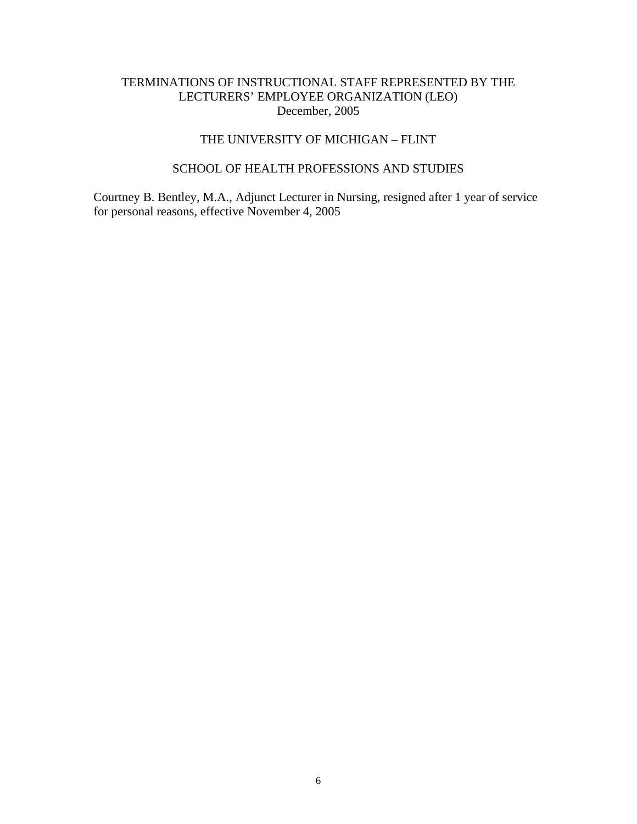# TERMINATIONS OF INSTRUCTIONAL STAFF REPRESENTED BY THE LECTURERS' EMPLOYEE ORGANIZATION (LEO) December, 2005

# THE UNIVERSITY OF MICHIGAN – FLINT

# SCHOOL OF HEALTH PROFESSIONS AND STUDIES

Courtney B. Bentley, M.A., Adjunct Lecturer in Nursing, resigned after 1 year of service for personal reasons, effective November 4, 2005